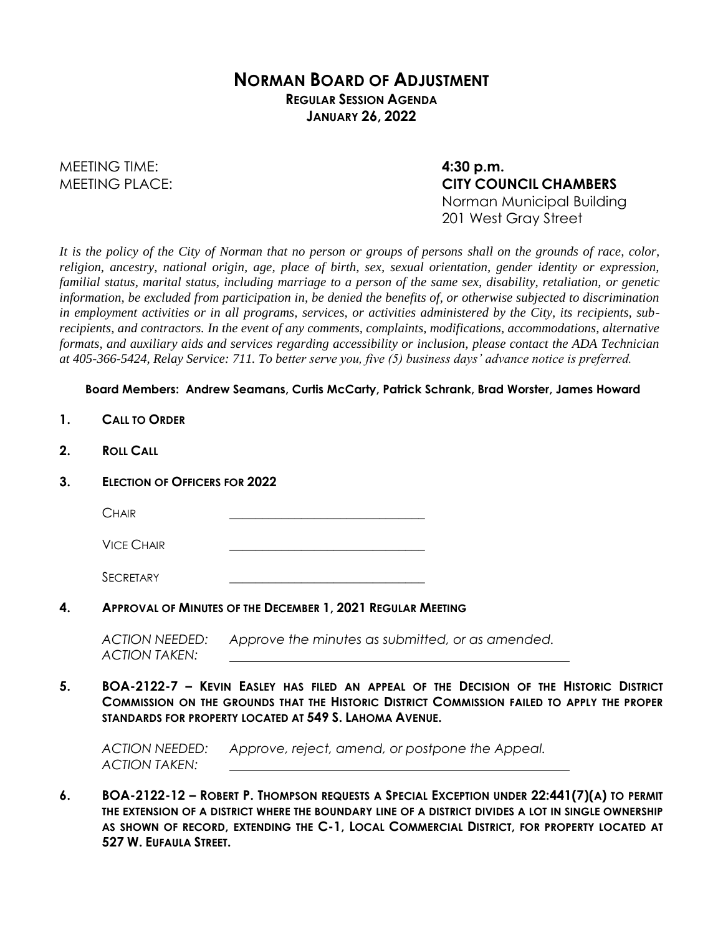## **NORMAN BOARD OF ADJUSTMENT REGULAR SESSION AGENDA JANUARY 26, 2022**

MEETING TIME: **4:30 p.m.**

MEETING PLACE: **CITY COUNCIL CHAMBERS** Norman Municipal Building 201 West Gray Street

*It is the policy of the City of Norman that no person or groups of persons shall on the grounds of race, color, religion, ancestry, national origin, age, place of birth, sex, sexual orientation, gender identity or expression, familial status, marital status, including marriage to a person of the same sex, disability, retaliation, or genetic information, be excluded from participation in, be denied the benefits of, or otherwise subjected to discrimination in employment activities or in all programs, services, or activities administered by the City, its recipients, subrecipients, and contractors. In the event of any comments, complaints, modifications, accommodations, alternative formats, and auxiliary aids and services regarding accessibility or inclusion, please contact the ADA Technician at 405-366-5424, Relay Service: 711. To better serve you, five (5) business days' advance notice is preferred.*

## **Board Members: Andrew Seamans, Curtis McCarty, Patrick Schrank, Brad Worster, James Howard**

- **1. CALL TO ORDER**
- **2. ROLL CALL**
- **3. ELECTION OF OFFICERS FOR 2022**

| -<br><b>MI</b> |  |
|----------------|--|
|                |  |

**VICE CHAIR** 

SECRETARY

**4. APPROVAL OF MINUTES OF THE DECEMBER 1, 2021 REGULAR MEETING**

*ACTION NEEDED: Approve the minutes as submitted, or as amended. ACTION TAKEN:*

**5. BOA-2122-7 – KEVIN EASLEY HAS FILED AN APPEAL OF THE DECISION OF THE HISTORIC DISTRICT COMMISSION ON THE GROUNDS THAT THE HISTORIC DISTRICT COMMISSION FAILED TO APPLY THE PROPER STANDARDS FOR PROPERTY LOCATED AT 549 S. LAHOMA AVENUE.** 

*ACTION NEEDED: Approve, reject, amend, or postpone the Appeal. ACTION TAKEN:*

**6. BOA-2122-12 – ROBERT P. THOMPSON REQUESTS A SPECIAL EXCEPTION UNDER 22:441(7)(A) TO PERMIT THE EXTENSION OF A DISTRICT WHERE THE BOUNDARY LINE OF A DISTRICT DIVIDES A LOT IN SINGLE OWNERSHIP AS SHOWN OF RECORD, EXTENDING THE C-1, LOCAL COMMERCIAL DISTRICT, FOR PROPERTY LOCATED AT 527 W. EUFAULA STREET.**